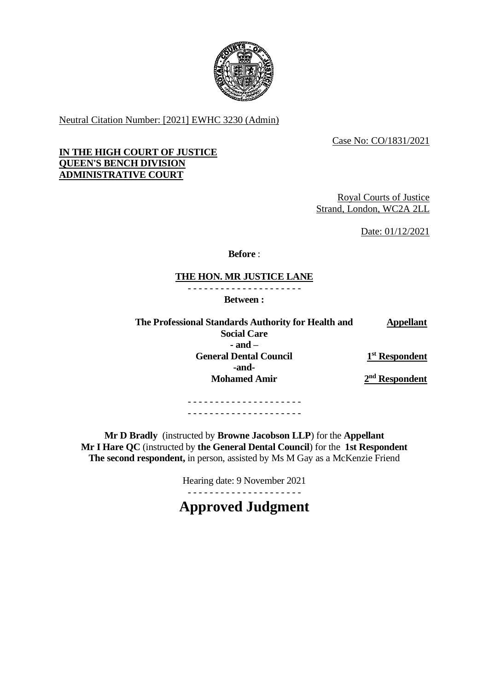

Neutral Citation Number: [2021] EWHC 3230 (Admin)

Case No: CO/1831/2021

## **IN THE HIGH COURT OF JUSTICE QUEEN'S BENCH DIVISION ADMINISTRATIVE COURT**

Royal Courts of Justice Strand, London, WC2A 2LL

Date: 01/12/2021

**Before** :

# **THE HON. MR JUSTICE LANE**

- - - - - - - - - - - - - - - - - - - - -

**Between :**

**The Professional Standards Authority for Health and Social Care Appellant - and – General Dental Council -and-** $1<sup>st</sup>$  **Respondent Mohamed Amir 2**

**nd Respondent**

- - - - - - - - - - - - - - - - - - - - - - - - - - - - - - - - - - - - - - - - - -

**Mr D Bradly** (instructed by **Browne Jacobson LLP**) for the **Appellant Mr I Hare QC** (instructed by **the General Dental Council**) for the **1st Respondent The second respondent,** in person, assisted by Ms M Gay as a McKenzie Friend

Hearing date: 9 November 2021

- - - - - - - - - - - - - - - - - - - - -

**Approved Judgment**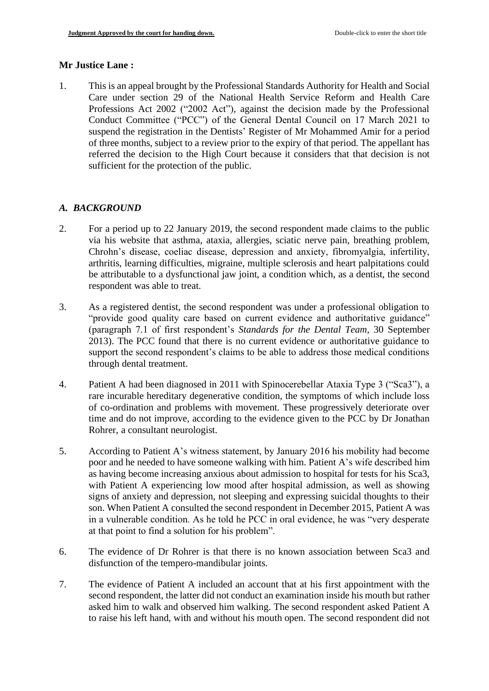## **Mr Justice Lane :**

1. This is an appeal brought by the Professional Standards Authority for Health and Social Care under section 29 of the National Health Service Reform and Health Care Professions Act 2002 ("2002 Act"), against the decision made by the Professional Conduct Committee ("PCC") of the General Dental Council on 17 March 2021 to suspend the registration in the Dentists' Register of Mr Mohammed Amir for a period of three months, subject to a review prior to the expiry of that period. The appellant has referred the decision to the High Court because it considers that that decision is not sufficient for the protection of the public.

# *A. BACKGROUND*

- 2. For a period up to 22 January 2019, the second respondent made claims to the public via his website that asthma, ataxia, allergies, sciatic nerve pain, breathing problem, Chrohn's disease, coeliac disease, depression and anxiety, fibromyalgia, infertility, arthritis, learning difficulties, migraine, multiple sclerosis and heart palpitations could be attributable to a dysfunctional jaw joint, a condition which, as a dentist, the second respondent was able to treat.
- 3. As a registered dentist, the second respondent was under a professional obligation to "provide good quality care based on current evidence and authoritative guidance" (paragraph 7.1 of first respondent's *Standards for the Dental Team,* 30 September 2013). The PCC found that there is no current evidence or authoritative guidance to support the second respondent's claims to be able to address those medical conditions through dental treatment.
- 4. Patient A had been diagnosed in 2011 with Spinocerebellar Ataxia Type 3 ("Sca3"), a rare incurable hereditary degenerative condition, the symptoms of which include loss of co-ordination and problems with movement. These progressively deteriorate over time and do not improve, according to the evidence given to the PCC by Dr Jonathan Rohrer, a consultant neurologist.
- 5. According to Patient A's witness statement, by January 2016 his mobility had become poor and he needed to have someone walking with him. Patient A's wife described him as having become increasing anxious about admission to hospital for tests for his Sca3, with Patient A experiencing low mood after hospital admission, as well as showing signs of anxiety and depression, not sleeping and expressing suicidal thoughts to their son. When Patient A consulted the second respondent in December 2015, Patient A was in a vulnerable condition. As he told he PCC in oral evidence, he was "very desperate at that point to find a solution for his problem".
- 6. The evidence of Dr Rohrer is that there is no known association between Sca3 and disfunction of the tempero-mandibular joints.
- 7. The evidence of Patient A included an account that at his first appointment with the second respondent, the latter did not conduct an examination inside his mouth but rather asked him to walk and observed him walking. The second respondent asked Patient A to raise his left hand, with and without his mouth open. The second respondent did not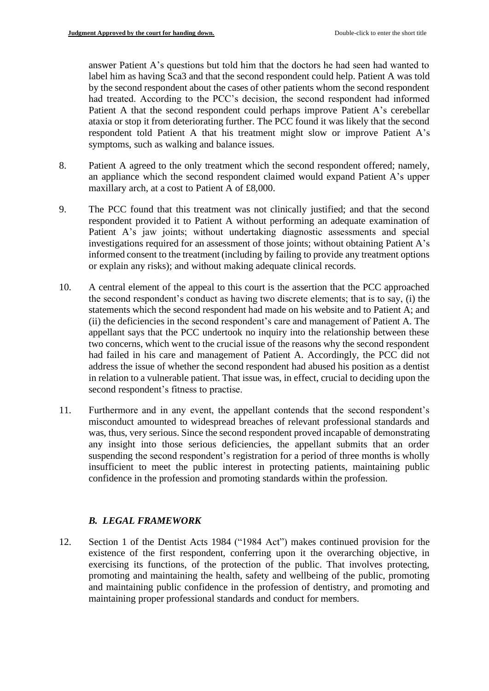answer Patient A's questions but told him that the doctors he had seen had wanted to label him as having Sca3 and that the second respondent could help. Patient A was told by the second respondent about the cases of other patients whom the second respondent had treated. According to the PCC's decision, the second respondent had informed Patient A that the second respondent could perhaps improve Patient A's cerebellar ataxia or stop it from deteriorating further. The PCC found it was likely that the second respondent told Patient A that his treatment might slow or improve Patient A's symptoms, such as walking and balance issues.

- 8. Patient A agreed to the only treatment which the second respondent offered; namely, an appliance which the second respondent claimed would expand Patient A's upper maxillary arch, at a cost to Patient A of £8,000.
- 9. The PCC found that this treatment was not clinically justified; and that the second respondent provided it to Patient A without performing an adequate examination of Patient A's jaw joints; without undertaking diagnostic assessments and special investigations required for an assessment of those joints; without obtaining Patient A's informed consent to the treatment (including by failing to provide any treatment options or explain any risks); and without making adequate clinical records.
- 10. A central element of the appeal to this court is the assertion that the PCC approached the second respondent's conduct as having two discrete elements; that is to say, (i) the statements which the second respondent had made on his website and to Patient A; and (ii) the deficiencies in the second respondent's care and management of Patient A. The appellant says that the PCC undertook no inquiry into the relationship between these two concerns, which went to the crucial issue of the reasons why the second respondent had failed in his care and management of Patient A. Accordingly, the PCC did not address the issue of whether the second respondent had abused his position as a dentist in relation to a vulnerable patient. That issue was, in effect, crucial to deciding upon the second respondent's fitness to practise.
- 11. Furthermore and in any event, the appellant contends that the second respondent's misconduct amounted to widespread breaches of relevant professional standards and was, thus, very serious. Since the second respondent proved incapable of demonstrating any insight into those serious deficiencies, the appellant submits that an order suspending the second respondent's registration for a period of three months is wholly insufficient to meet the public interest in protecting patients, maintaining public confidence in the profession and promoting standards within the profession.

# *B. LEGAL FRAMEWORK*

12. Section 1 of the Dentist Acts 1984 ("1984 Act") makes continued provision for the existence of the first respondent, conferring upon it the overarching objective, in exercising its functions, of the protection of the public. That involves protecting, promoting and maintaining the health, safety and wellbeing of the public, promoting and maintaining public confidence in the profession of dentistry, and promoting and maintaining proper professional standards and conduct for members.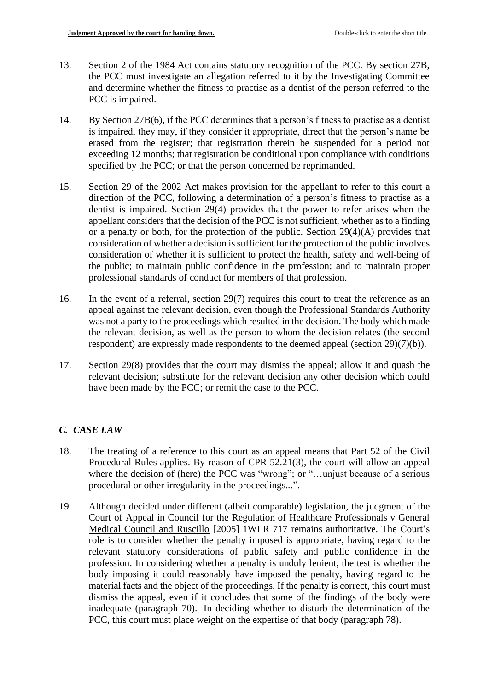- 13. Section 2 of the 1984 Act contains statutory recognition of the PCC. By section 27B, the PCC must investigate an allegation referred to it by the Investigating Committee and determine whether the fitness to practise as a dentist of the person referred to the PCC is impaired.
- 14. By Section 27B(6), if the PCC determines that a person's fitness to practise as a dentist is impaired, they may, if they consider it appropriate, direct that the person's name be erased from the register; that registration therein be suspended for a period not exceeding 12 months; that registration be conditional upon compliance with conditions specified by the PCC; or that the person concerned be reprimanded.
- 15. Section 29 of the 2002 Act makes provision for the appellant to refer to this court a direction of the PCC, following a determination of a person's fitness to practise as a dentist is impaired. Section 29(4) provides that the power to refer arises when the appellant considers that the decision of the PCC is not sufficient, whether as to a finding or a penalty or both, for the protection of the public. Section 29(4)(A) provides that consideration of whether a decision is sufficient for the protection of the public involves consideration of whether it is sufficient to protect the health, safety and well-being of the public; to maintain public confidence in the profession; and to maintain proper professional standards of conduct for members of that profession.
- 16. In the event of a referral, section 29(7) requires this court to treat the reference as an appeal against the relevant decision, even though the Professional Standards Authority was not a party to the proceedings which resulted in the decision. The body which made the relevant decision, as well as the person to whom the decision relates (the second respondent) are expressly made respondents to the deemed appeal (section 29)(7)(b)).
- 17. Section 29(8) provides that the court may dismiss the appeal; allow it and quash the relevant decision; substitute for the relevant decision any other decision which could have been made by the PCC; or remit the case to the PCC.

# *C. CASE LAW*

- 18. The treating of a reference to this court as an appeal means that Part 52 of the Civil Procedural Rules applies. By reason of CPR 52.21(3), the court will allow an appeal where the decision of (here) the PCC was "wrong"; or "...unjust because of a serious procedural or other irregularity in the proceedings...".
- 19. Although decided under different (albeit comparable) legislation, the judgment of the Court of Appeal in Council for the Regulation of Healthcare Professionals v General Medical Council and Ruscillo [2005] 1WLR 717 remains authoritative. The Court's role is to consider whether the penalty imposed is appropriate, having regard to the relevant statutory considerations of public safety and public confidence in the profession. In considering whether a penalty is unduly lenient, the test is whether the body imposing it could reasonably have imposed the penalty, having regard to the material facts and the object of the proceedings. If the penalty is correct, this court must dismiss the appeal, even if it concludes that some of the findings of the body were inadequate (paragraph 70). In deciding whether to disturb the determination of the PCC, this court must place weight on the expertise of that body (paragraph 78).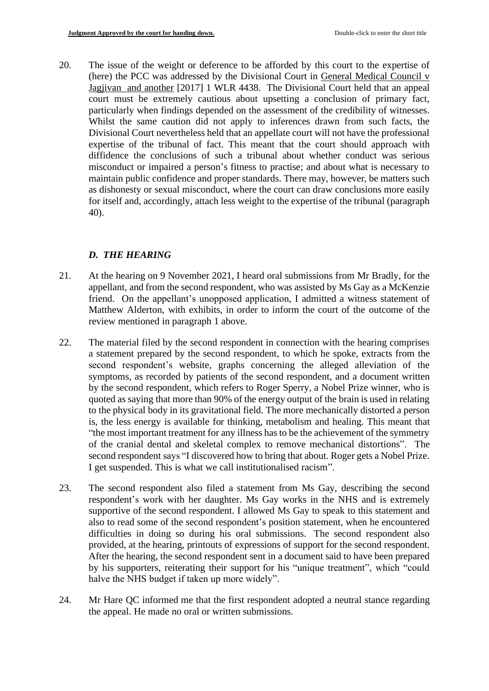20. The issue of the weight or deference to be afforded by this court to the expertise of (here) the PCC was addressed by the Divisional Court in General Medical Council v Jagjivan and another [2017] 1 WLR 4438. The Divisional Court held that an appeal court must be extremely cautious about upsetting a conclusion of primary fact, particularly when findings depended on the assessment of the credibility of witnesses. Whilst the same caution did not apply to inferences drawn from such facts, the Divisional Court nevertheless held that an appellate court will not have the professional expertise of the tribunal of fact. This meant that the court should approach with diffidence the conclusions of such a tribunal about whether conduct was serious misconduct or impaired a person's fitness to practise; and about what is necessary to maintain public confidence and proper standards. There may, however, be matters such as dishonesty or sexual misconduct, where the court can draw conclusions more easily for itself and, accordingly, attach less weight to the expertise of the tribunal (paragraph 40).

# *D. THE HEARING*

- 21. At the hearing on 9 November 2021, I heard oral submissions from Mr Bradly, for the appellant, and from the second respondent, who was assisted by Ms Gay as a McKenzie friend. On the appellant's unopposed application, I admitted a witness statement of Matthew Alderton, with exhibits, in order to inform the court of the outcome of the review mentioned in paragraph 1 above.
- 22. The material filed by the second respondent in connection with the hearing comprises a statement prepared by the second respondent, to which he spoke, extracts from the second respondent's website, graphs concerning the alleged alleviation of the symptoms, as recorded by patients of the second respondent, and a document written by the second respondent, which refers to Roger Sperry, a Nobel Prize winner, who is quoted as saying that more than 90% of the energy output of the brain is used in relating to the physical body in its gravitational field. The more mechanically distorted a person is, the less energy is available for thinking, metabolism and healing. This meant that "the most important treatment for any illness has to be the achievement of the symmetry of the cranial dental and skeletal complex to remove mechanical distortions". The second respondent says "I discovered how to bring that about. Roger gets a Nobel Prize. I get suspended. This is what we call institutionalised racism".
- 23. The second respondent also filed a statement from Ms Gay, describing the second respondent's work with her daughter. Ms Gay works in the NHS and is extremely supportive of the second respondent. I allowed Ms Gay to speak to this statement and also to read some of the second respondent's position statement, when he encountered difficulties in doing so during his oral submissions. The second respondent also provided, at the hearing, printouts of expressions of support for the second respondent. After the hearing, the second respondent sent in a document said to have been prepared by his supporters, reiterating their support for his "unique treatment", which "could halve the NHS budget if taken up more widely".
- 24. Mr Hare QC informed me that the first respondent adopted a neutral stance regarding the appeal. He made no oral or written submissions.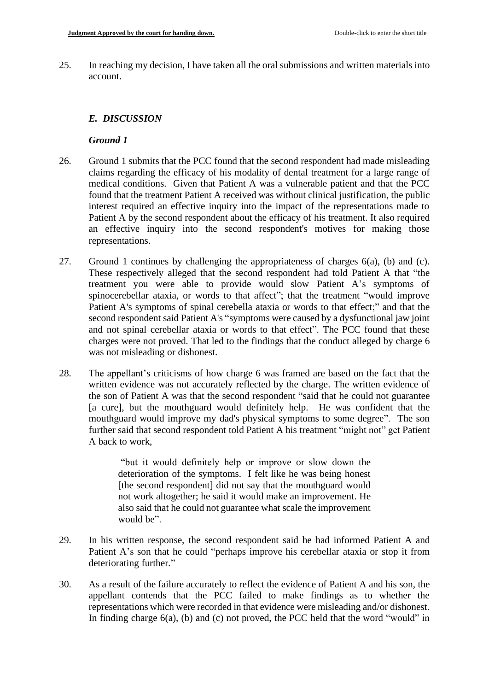25. In reaching my decision, I have taken all the oral submissions and written materials into account.

# *E. DISCUSSION*

#### *Ground 1*

- 26. Ground 1 submits that the PCC found that the second respondent had made misleading claims regarding the efficacy of his modality of dental treatment for a large range of medical conditions. Given that Patient A was a vulnerable patient and that the PCC found that the treatment Patient A received was without clinical justification, the public interest required an effective inquiry into the impact of the representations made to Patient A by the second respondent about the efficacy of his treatment. It also required an effective inquiry into the second respondent's motives for making those representations.
- 27. Ground 1 continues by challenging the appropriateness of charges 6(a), (b) and (c). These respectively alleged that the second respondent had told Patient A that "the treatment you were able to provide would slow Patient A's symptoms of spinocerebellar ataxia, or words to that affect"; that the treatment "would improve Patient A's symptoms of spinal cerebella ataxia or words to that effect;" and that the second respondent said Patient A's "symptoms were caused by a dysfunctional jaw joint and not spinal cerebellar ataxia or words to that effect". The PCC found that these charges were not proved. That led to the findings that the conduct alleged by charge 6 was not misleading or dishonest.
- 28. The appellant's criticisms of how charge 6 was framed are based on the fact that the written evidence was not accurately reflected by the charge. The written evidence of the son of Patient A was that the second respondent "said that he could not guarantee [a cure], but the mouthguard would definitely help. He was confident that the mouthguard would improve my dad's physical symptoms to some degree". The son further said that second respondent told Patient A his treatment "might not" get Patient A back to work,

"but it would definitely help or improve or slow down the deterioration of the symptoms. I felt like he was being honest [the second respondent] did not say that the mouthguard would not work altogether; he said it would make an improvement. He also said that he could not guarantee what scale the improvement would be".

- 29. In his written response, the second respondent said he had informed Patient A and Patient A's son that he could "perhaps improve his cerebellar ataxia or stop it from deteriorating further."
- 30. As a result of the failure accurately to reflect the evidence of Patient A and his son, the appellant contends that the PCC failed to make findings as to whether the representations which were recorded in that evidence were misleading and/or dishonest. In finding charge 6(a), (b) and (c) not proved, the PCC held that the word "would" in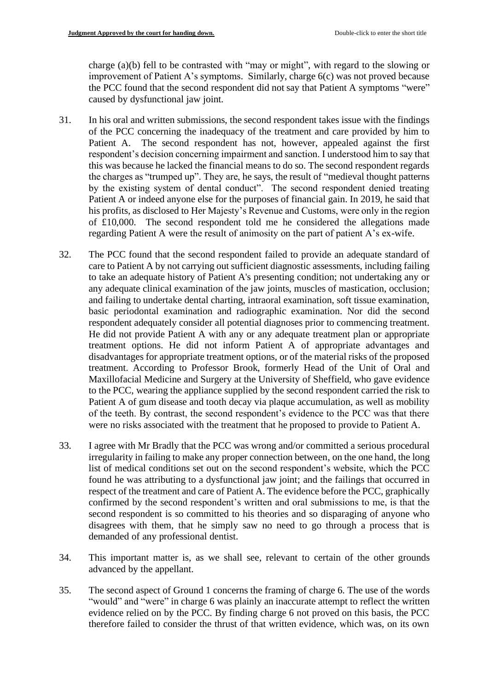charge (a)(b) fell to be contrasted with "may or might", with regard to the slowing or improvement of Patient A's symptoms. Similarly, charge 6(c) was not proved because the PCC found that the second respondent did not say that Patient A symptoms "were" caused by dysfunctional jaw joint.

- 31. In his oral and written submissions, the second respondent takes issue with the findings of the PCC concerning the inadequacy of the treatment and care provided by him to Patient A. The second respondent has not, however, appealed against the first respondent's decision concerning impairment and sanction. I understood him to say that this was because he lacked the financial means to do so. The second respondent regards the charges as "trumped up". They are, he says, the result of "medieval thought patterns by the existing system of dental conduct". The second respondent denied treating Patient A or indeed anyone else for the purposes of financial gain. In 2019, he said that his profits, as disclosed to Her Majesty's Revenue and Customs, were only in the region of £10,000. The second respondent told me he considered the allegations made regarding Patient A were the result of animosity on the part of patient A's ex-wife.
- 32. The PCC found that the second respondent failed to provide an adequate standard of care to Patient A by not carrying out sufficient diagnostic assessments, including failing to take an adequate history of Patient A's presenting condition; not undertaking any or any adequate clinical examination of the jaw joints, muscles of mastication, occlusion; and failing to undertake dental charting, intraoral examination, soft tissue examination, basic periodontal examination and radiographic examination. Nor did the second respondent adequately consider all potential diagnoses prior to commencing treatment. He did not provide Patient A with any or any adequate treatment plan or appropriate treatment options. He did not inform Patient A of appropriate advantages and disadvantages for appropriate treatment options, or of the material risks of the proposed treatment. According to Professor Brook, formerly Head of the Unit of Oral and Maxillofacial Medicine and Surgery at the University of Sheffield, who gave evidence to the PCC, wearing the appliance supplied by the second respondent carried the risk to Patient A of gum disease and tooth decay via plaque accumulation, as well as mobility of the teeth. By contrast, the second respondent's evidence to the PCC was that there were no risks associated with the treatment that he proposed to provide to Patient A.
- 33. I agree with Mr Bradly that the PCC was wrong and/or committed a serious procedural irregularity in failing to make any proper connection between, on the one hand, the long list of medical conditions set out on the second respondent's website, which the PCC found he was attributing to a dysfunctional jaw joint; and the failings that occurred in respect of the treatment and care of Patient A. The evidence before the PCC, graphically confirmed by the second respondent's written and oral submissions to me, is that the second respondent is so committed to his theories and so disparaging of anyone who disagrees with them, that he simply saw no need to go through a process that is demanded of any professional dentist.
- 34. This important matter is, as we shall see, relevant to certain of the other grounds advanced by the appellant.
- 35. The second aspect of Ground 1 concerns the framing of charge 6. The use of the words "would" and "were" in charge 6 was plainly an inaccurate attempt to reflect the written evidence relied on by the PCC. By finding charge 6 not proved on this basis, the PCC therefore failed to consider the thrust of that written evidence, which was, on its own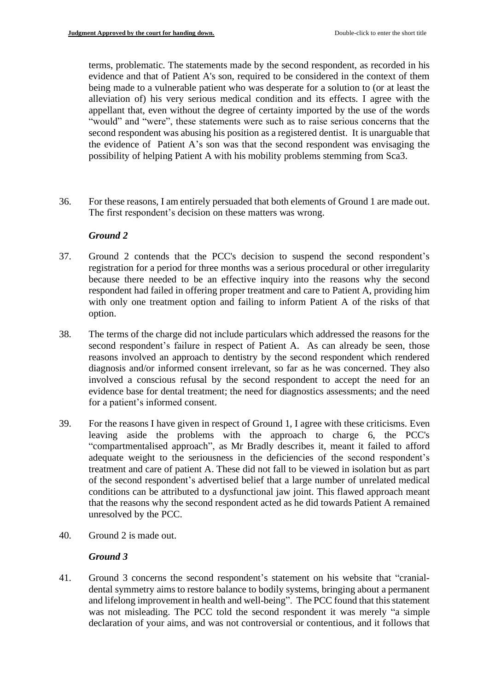terms, problematic. The statements made by the second respondent, as recorded in his evidence and that of Patient A's son, required to be considered in the context of them being made to a vulnerable patient who was desperate for a solution to (or at least the alleviation of) his very serious medical condition and its effects. I agree with the appellant that, even without the degree of certainty imported by the use of the words "would" and "were", these statements were such as to raise serious concerns that the second respondent was abusing his position as a registered dentist. It is unarguable that the evidence of Patient A's son was that the second respondent was envisaging the possibility of helping Patient A with his mobility problems stemming from Sca3.

36. For these reasons, I am entirely persuaded that both elements of Ground 1 are made out. The first respondent's decision on these matters was wrong.

## *Ground 2*

- 37. Ground 2 contends that the PCC's decision to suspend the second respondent's registration for a period for three months was a serious procedural or other irregularity because there needed to be an effective inquiry into the reasons why the second respondent had failed in offering proper treatment and care to Patient A, providing him with only one treatment option and failing to inform Patient A of the risks of that option.
- 38. The terms of the charge did not include particulars which addressed the reasons for the second respondent's failure in respect of Patient A. As can already be seen, those reasons involved an approach to dentistry by the second respondent which rendered diagnosis and/or informed consent irrelevant, so far as he was concerned. They also involved a conscious refusal by the second respondent to accept the need for an evidence base for dental treatment; the need for diagnostics assessments; and the need for a patient's informed consent.
- 39. For the reasons I have given in respect of Ground 1, I agree with these criticisms. Even leaving aside the problems with the approach to charge 6, the PCC's "compartmentalised approach", as Mr Bradly describes it, meant it failed to afford adequate weight to the seriousness in the deficiencies of the second respondent's treatment and care of patient A. These did not fall to be viewed in isolation but as part of the second respondent's advertised belief that a large number of unrelated medical conditions can be attributed to a dysfunctional jaw joint. This flawed approach meant that the reasons why the second respondent acted as he did towards Patient A remained unresolved by the PCC.
- 40. Ground 2 is made out.

## *Ground 3*

41. Ground 3 concerns the second respondent's statement on his website that "cranialdental symmetry aims to restore balance to bodily systems, bringing about a permanent and lifelong improvement in health and well-being". The PCC found that this statement was not misleading. The PCC told the second respondent it was merely "a simple declaration of your aims, and was not controversial or contentious, and it follows that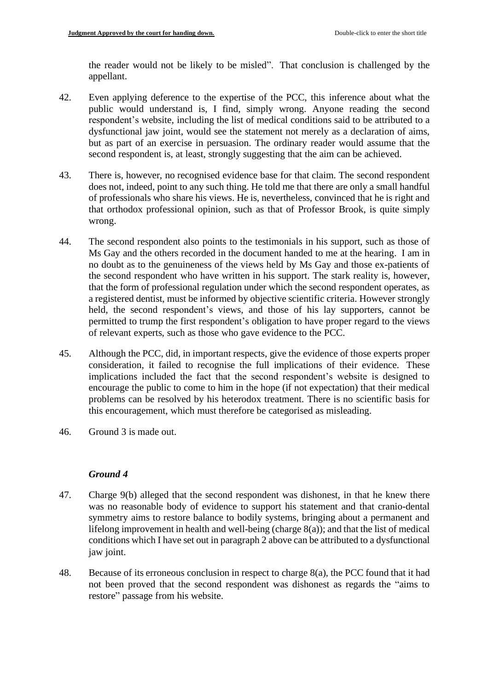the reader would not be likely to be misled". That conclusion is challenged by the appellant.

- 42. Even applying deference to the expertise of the PCC, this inference about what the public would understand is, I find, simply wrong. Anyone reading the second respondent's website, including the list of medical conditions said to be attributed to a dysfunctional jaw joint, would see the statement not merely as a declaration of aims, but as part of an exercise in persuasion. The ordinary reader would assume that the second respondent is, at least, strongly suggesting that the aim can be achieved.
- 43. There is, however, no recognised evidence base for that claim. The second respondent does not, indeed, point to any such thing. He told me that there are only a small handful of professionals who share his views. He is, nevertheless, convinced that he is right and that orthodox professional opinion, such as that of Professor Brook, is quite simply wrong.
- 44. The second respondent also points to the testimonials in his support, such as those of Ms Gay and the others recorded in the document handed to me at the hearing. I am in no doubt as to the genuineness of the views held by Ms Gay and those ex-patients of the second respondent who have written in his support. The stark reality is, however, that the form of professional regulation under which the second respondent operates, as a registered dentist, must be informed by objective scientific criteria. However strongly held, the second respondent's views, and those of his lay supporters, cannot be permitted to trump the first respondent's obligation to have proper regard to the views of relevant experts, such as those who gave evidence to the PCC.
- 45. Although the PCC, did, in important respects, give the evidence of those experts proper consideration, it failed to recognise the full implications of their evidence. These implications included the fact that the second respondent's website is designed to encourage the public to come to him in the hope (if not expectation) that their medical problems can be resolved by his heterodox treatment. There is no scientific basis for this encouragement, which must therefore be categorised as misleading.
- 46. Ground 3 is made out.

## *Ground 4*

- 47. Charge 9(b) alleged that the second respondent was dishonest, in that he knew there was no reasonable body of evidence to support his statement and that cranio-dental symmetry aims to restore balance to bodily systems, bringing about a permanent and lifelong improvement in health and well-being (charge 8(a)); and that the list of medical conditions which I have set out in paragraph 2 above can be attributed to a dysfunctional jaw joint.
- 48. Because of its erroneous conclusion in respect to charge 8(a), the PCC found that it had not been proved that the second respondent was dishonest as regards the "aims to restore" passage from his website.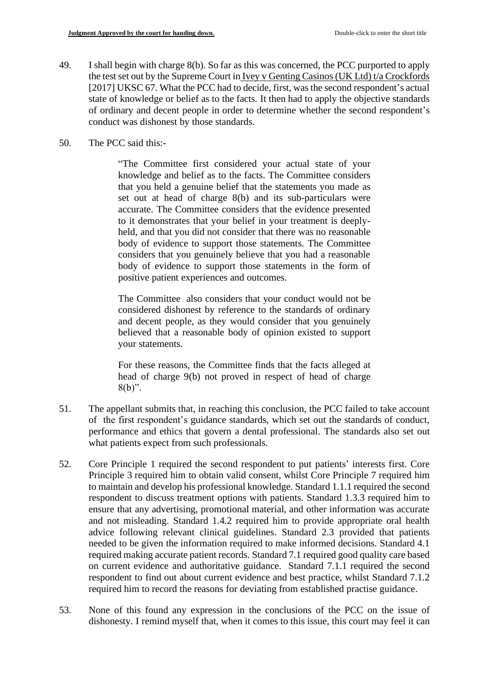- 49. I shall begin with charge 8(b). So far as this was concerned, the PCC purported to apply the test set out by the Supreme Court in Ivey v Genting Casinos (UK Ltd) t/a Crockfords [2017] UKSC 67. What the PCC had to decide, first, was the second respondent's actual state of knowledge or belief as to the facts. It then had to apply the objective standards of ordinary and decent people in order to determine whether the second respondent's conduct was dishonest by those standards.
- 50. The PCC said this:-

"The Committee first considered your actual state of your knowledge and belief as to the facts. The Committee considers that you held a genuine belief that the statements you made as set out at head of charge 8(b) and its sub-particulars were accurate. The Committee considers that the evidence presented to it demonstrates that your belief in your treatment is deeplyheld, and that you did not consider that there was no reasonable body of evidence to support those statements. The Committee considers that you genuinely believe that you had a reasonable body of evidence to support those statements in the form of positive patient experiences and outcomes.

The Committee also considers that your conduct would not be considered dishonest by reference to the standards of ordinary and decent people, as they would consider that you genuinely believed that a reasonable body of opinion existed to support your statements.

For these reasons, the Committee finds that the facts alleged at head of charge 9(b) not proved in respect of head of charge  $8(b)$ ".

- 51. The appellant submits that, in reaching this conclusion, the PCC failed to take account of the first respondent's guidance standards, which set out the standards of conduct, performance and ethics that govern a dental professional. The standards also set out what patients expect from such professionals.
- 52. Core Principle 1 required the second respondent to put patients' interests first. Core Principle 3 required him to obtain valid consent, whilst Core Principle 7 required him to maintain and develop his professional knowledge. Standard 1.1.1 required the second respondent to discuss treatment options with patients. Standard 1.3.3 required him to ensure that any advertising, promotional material, and other information was accurate and not misleading. Standard 1.4.2 required him to provide appropriate oral health advice following relevant clinical guidelines. Standard 2.3 provided that patients needed to be given the information required to make informed decisions. Standard 4.1 required making accurate patient records. Standard 7.1 required good quality care based on current evidence and authoritative guidance. Standard 7.1.1 required the second respondent to find out about current evidence and best practice, whilst Standard 7.1.2 required him to record the reasons for deviating from established practise guidance.
- 53. None of this found any expression in the conclusions of the PCC on the issue of dishonesty. I remind myself that, when it comes to this issue, this court may feel it can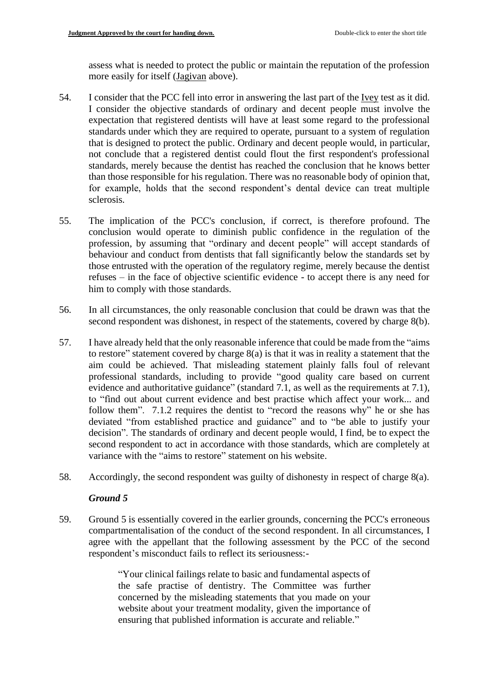assess what is needed to protect the public or maintain the reputation of the profession more easily for itself (Jagivan above).

- 54. I consider that the PCC fell into error in answering the last part of the Ivey test as it did. I consider the objective standards of ordinary and decent people must involve the expectation that registered dentists will have at least some regard to the professional standards under which they are required to operate, pursuant to a system of regulation that is designed to protect the public. Ordinary and decent people would, in particular, not conclude that a registered dentist could flout the first respondent's professional standards, merely because the dentist has reached the conclusion that he knows better than those responsible for his regulation. There was no reasonable body of opinion that, for example, holds that the second respondent's dental device can treat multiple sclerosis.
- 55. The implication of the PCC's conclusion, if correct, is therefore profound. The conclusion would operate to diminish public confidence in the regulation of the profession, by assuming that "ordinary and decent people" will accept standards of behaviour and conduct from dentists that fall significantly below the standards set by those entrusted with the operation of the regulatory regime, merely because the dentist refuses – in the face of objective scientific evidence - to accept there is any need for him to comply with those standards.
- 56. In all circumstances, the only reasonable conclusion that could be drawn was that the second respondent was dishonest, in respect of the statements, covered by charge 8(b).
- 57. I have already held that the only reasonable inference that could be made from the "aims to restore" statement covered by charge 8(a) is that it was in reality a statement that the aim could be achieved. That misleading statement plainly falls foul of relevant professional standards, including to provide "good quality care based on current evidence and authoritative guidance" (standard 7.1, as well as the requirements at 7.1), to "find out about current evidence and best practise which affect your work... and follow them". 7.1.2 requires the dentist to "record the reasons why" he or she has deviated "from established practice and guidance" and to "be able to justify your decision". The standards of ordinary and decent people would, I find, be to expect the second respondent to act in accordance with those standards, which are completely at variance with the "aims to restore" statement on his website.
- 58. Accordingly, the second respondent was guilty of dishonesty in respect of charge 8(a).

## *Ground 5*

59. Ground 5 is essentially covered in the earlier grounds, concerning the PCC's erroneous compartmentalisation of the conduct of the second respondent. In all circumstances, I agree with the appellant that the following assessment by the PCC of the second respondent's misconduct fails to reflect its seriousness:-

> "Your clinical failings relate to basic and fundamental aspects of the safe practise of dentistry. The Committee was further concerned by the misleading statements that you made on your website about your treatment modality, given the importance of ensuring that published information is accurate and reliable."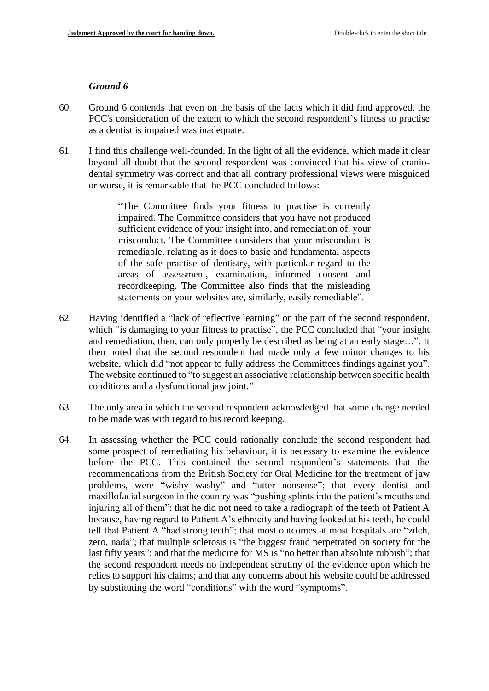#### *Ground 6*

- 60. Ground 6 contends that even on the basis of the facts which it did find approved, the PCC's consideration of the extent to which the second respondent's fitness to practise as a dentist is impaired was inadequate.
- 61. I find this challenge well-founded. In the light of all the evidence, which made it clear beyond all doubt that the second respondent was convinced that his view of craniodental symmetry was correct and that all contrary professional views were misguided or worse, it is remarkable that the PCC concluded follows:

"The Committee finds your fitness to practise is currently impaired. The Committee considers that you have not produced sufficient evidence of your insight into, and remediation of, your misconduct. The Committee considers that your misconduct is remediable, relating as it does to basic and fundamental aspects of the safe practise of dentistry, with particular regard to the areas of assessment, examination, informed consent and recordkeeping. The Committee also finds that the misleading statements on your websites are, similarly, easily remediable".

- 62. Having identified a "lack of reflective learning" on the part of the second respondent, which "is damaging to your fitness to practise", the PCC concluded that "your insight" and remediation, then, can only properly be described as being at an early stage…". It then noted that the second respondent had made only a few minor changes to his website, which did "not appear to fully address the Committees findings against you". The website continued to "to suggest an associative relationship between specific health conditions and a dysfunctional jaw joint."
- 63. The only area in which the second respondent acknowledged that some change needed to be made was with regard to his record keeping.
- 64. In assessing whether the PCC could rationally conclude the second respondent had some prospect of remediating his behaviour, it is necessary to examine the evidence before the PCC. This contained the second respondent's statements that the recommendations from the British Society for Oral Medicine for the treatment of jaw problems, were "wishy washy" and "utter nonsense"; that every dentist and maxillofacial surgeon in the country was "pushing splints into the patient's mouths and injuring all of them"; that he did not need to take a radiograph of the teeth of Patient A because, having regard to Patient A's ethnicity and having looked at his teeth, he could tell that Patient A "had strong teeth"; that most outcomes at most hospitals are "zilch, zero, nada"; that multiple sclerosis is "the biggest fraud perpetrated on society for the last fifty years"; and that the medicine for MS is "no better than absolute rubbish"; that the second respondent needs no independent scrutiny of the evidence upon which he relies to support his claims; and that any concerns about his website could be addressed by substituting the word "conditions" with the word "symptoms".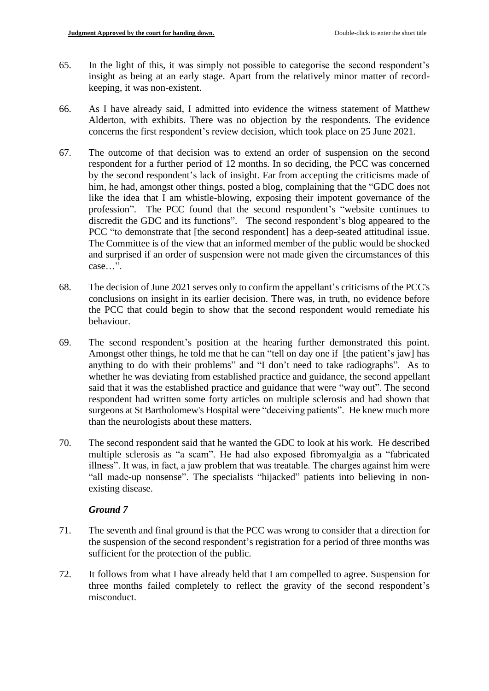- 65. In the light of this, it was simply not possible to categorise the second respondent's insight as being at an early stage. Apart from the relatively minor matter of recordkeeping, it was non-existent.
- 66. As I have already said, I admitted into evidence the witness statement of Matthew Alderton, with exhibits. There was no objection by the respondents. The evidence concerns the first respondent's review decision, which took place on 25 June 2021.
- 67. The outcome of that decision was to extend an order of suspension on the second respondent for a further period of 12 months. In so deciding, the PCC was concerned by the second respondent's lack of insight. Far from accepting the criticisms made of him, he had, amongst other things, posted a blog, complaining that the "GDC does not like the idea that I am whistle-blowing, exposing their impotent governance of the profession". The PCC found that the second respondent's "website continues to discredit the GDC and its functions". The second respondent's blog appeared to the PCC "to demonstrate that [the second respondent] has a deep-seated attitudinal issue. The Committee is of the view that an informed member of the public would be shocked and surprised if an order of suspension were not made given the circumstances of this case…".
- 68. The decision of June 2021 serves only to confirm the appellant's criticisms of the PCC's conclusions on insight in its earlier decision. There was, in truth, no evidence before the PCC that could begin to show that the second respondent would remediate his behaviour.
- 69. The second respondent's position at the hearing further demonstrated this point. Amongst other things, he told me that he can "tell on day one if [the patient's jaw] has anything to do with their problems" and "I don't need to take radiographs". As to whether he was deviating from established practice and guidance, the second appellant said that it was the established practice and guidance that were "way out". The second respondent had written some forty articles on multiple sclerosis and had shown that surgeons at St Bartholomew's Hospital were "deceiving patients". He knew much more than the neurologists about these matters.
- 70. The second respondent said that he wanted the GDC to look at his work. He described multiple sclerosis as "a scam". He had also exposed fibromyalgia as a "fabricated illness". It was, in fact, a jaw problem that was treatable. The charges against him were "all made-up nonsense". The specialists "hijacked" patients into believing in nonexisting disease.

# *Ground 7*

- 71. The seventh and final ground is that the PCC was wrong to consider that a direction for the suspension of the second respondent's registration for a period of three months was sufficient for the protection of the public.
- 72. It follows from what I have already held that I am compelled to agree. Suspension for three months failed completely to reflect the gravity of the second respondent's misconduct.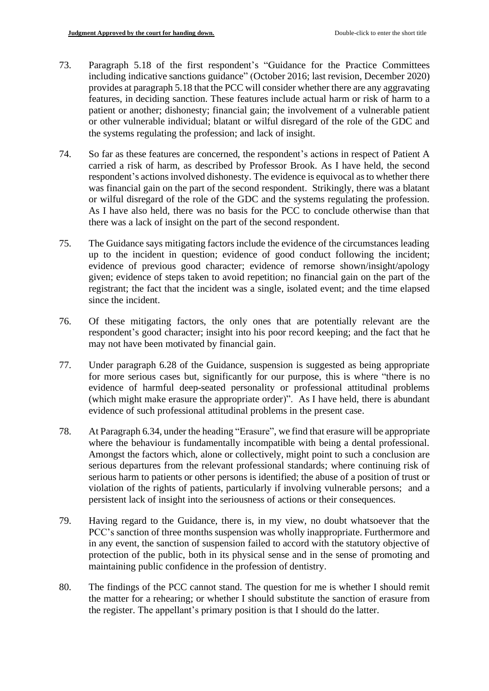- 73. Paragraph 5.18 of the first respondent's "Guidance for the Practice Committees including indicative sanctions guidance" (October 2016; last revision, December 2020) provides at paragraph 5.18 that the PCC will consider whether there are any aggravating features, in deciding sanction. These features include actual harm or risk of harm to a patient or another; dishonesty; financial gain; the involvement of a vulnerable patient or other vulnerable individual; blatant or wilful disregard of the role of the GDC and the systems regulating the profession; and lack of insight.
- 74. So far as these features are concerned, the respondent's actions in respect of Patient A carried a risk of harm, as described by Professor Brook. As I have held, the second respondent's actions involved dishonesty. The evidence is equivocal as to whether there was financial gain on the part of the second respondent. Strikingly, there was a blatant or wilful disregard of the role of the GDC and the systems regulating the profession. As I have also held, there was no basis for the PCC to conclude otherwise than that there was a lack of insight on the part of the second respondent.
- 75. The Guidance says mitigating factors include the evidence of the circumstances leading up to the incident in question; evidence of good conduct following the incident; evidence of previous good character; evidence of remorse shown/insight/apology given; evidence of steps taken to avoid repetition; no financial gain on the part of the registrant; the fact that the incident was a single, isolated event; and the time elapsed since the incident.
- 76. Of these mitigating factors, the only ones that are potentially relevant are the respondent's good character; insight into his poor record keeping; and the fact that he may not have been motivated by financial gain.
- 77. Under paragraph 6.28 of the Guidance, suspension is suggested as being appropriate for more serious cases but, significantly for our purpose, this is where "there is no evidence of harmful deep-seated personality or professional attitudinal problems (which might make erasure the appropriate order)". As I have held, there is abundant evidence of such professional attitudinal problems in the present case.
- 78. At Paragraph 6.34, under the heading "Erasure", we find that erasure will be appropriate where the behaviour is fundamentally incompatible with being a dental professional. Amongst the factors which, alone or collectively, might point to such a conclusion are serious departures from the relevant professional standards; where continuing risk of serious harm to patients or other persons is identified; the abuse of a position of trust or violation of the rights of patients, particularly if involving vulnerable persons; and a persistent lack of insight into the seriousness of actions or their consequences.
- 79. Having regard to the Guidance, there is, in my view, no doubt whatsoever that the PCC's sanction of three months suspension was wholly inappropriate. Furthermore and in any event, the sanction of suspension failed to accord with the statutory objective of protection of the public, both in its physical sense and in the sense of promoting and maintaining public confidence in the profession of dentistry.
- 80. The findings of the PCC cannot stand. The question for me is whether I should remit the matter for a rehearing; or whether I should substitute the sanction of erasure from the register. The appellant's primary position is that I should do the latter.